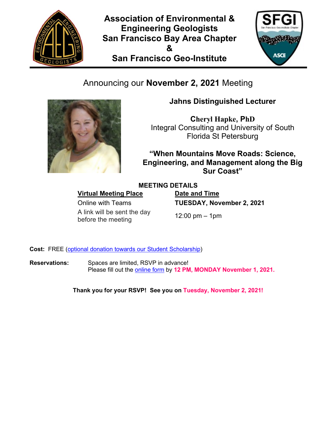

**Association of Environmental & Engineering Geologists San Francisco Bay Area Chapter & San Francisco Geo-Institute**



# Announcing our **November 2, 2021** Meeting



## **Jahns Distinguished Lecturer**

**Cheryl Hapke, PhD** Integral Consulting and University of South Florida St Petersburg

**"When Mountains Move Roads: Science, Engineering, and Management along the Big Sur Coast"**

### **MEETING DETAILS**

**Virtual Meeting Place Date and Time** 

A link will be sent the day  $\frac{12}{12}$ :00 pm – 1pm<br>before the meeting 12:00 pm – 1pm

Online with Teams **TUESDAY, November 2, 2021**

**Cost:** FREE [\(optional donation towards our Student Scholarship\)](https://www.paypal.com/donate/?token=AKu8S7c6oImuzfzb5ImvN2sY_zm2OJyRC32A1mmZooke5OQAhMtMmP5tCvdIJjanqx-y32FRzmYAqJ_h&locale.x=EN_US)

**Reservations:** Spaces are limited, RSVP in advance! Please fill out the [online form](http://aegsf.org/?post_type=rsvpmaker&p=3050) by **12 PM, MONDAY November 1, 2021.**

**Thank you for your RSVP! See you on Tuesday, November 2, 2021!**